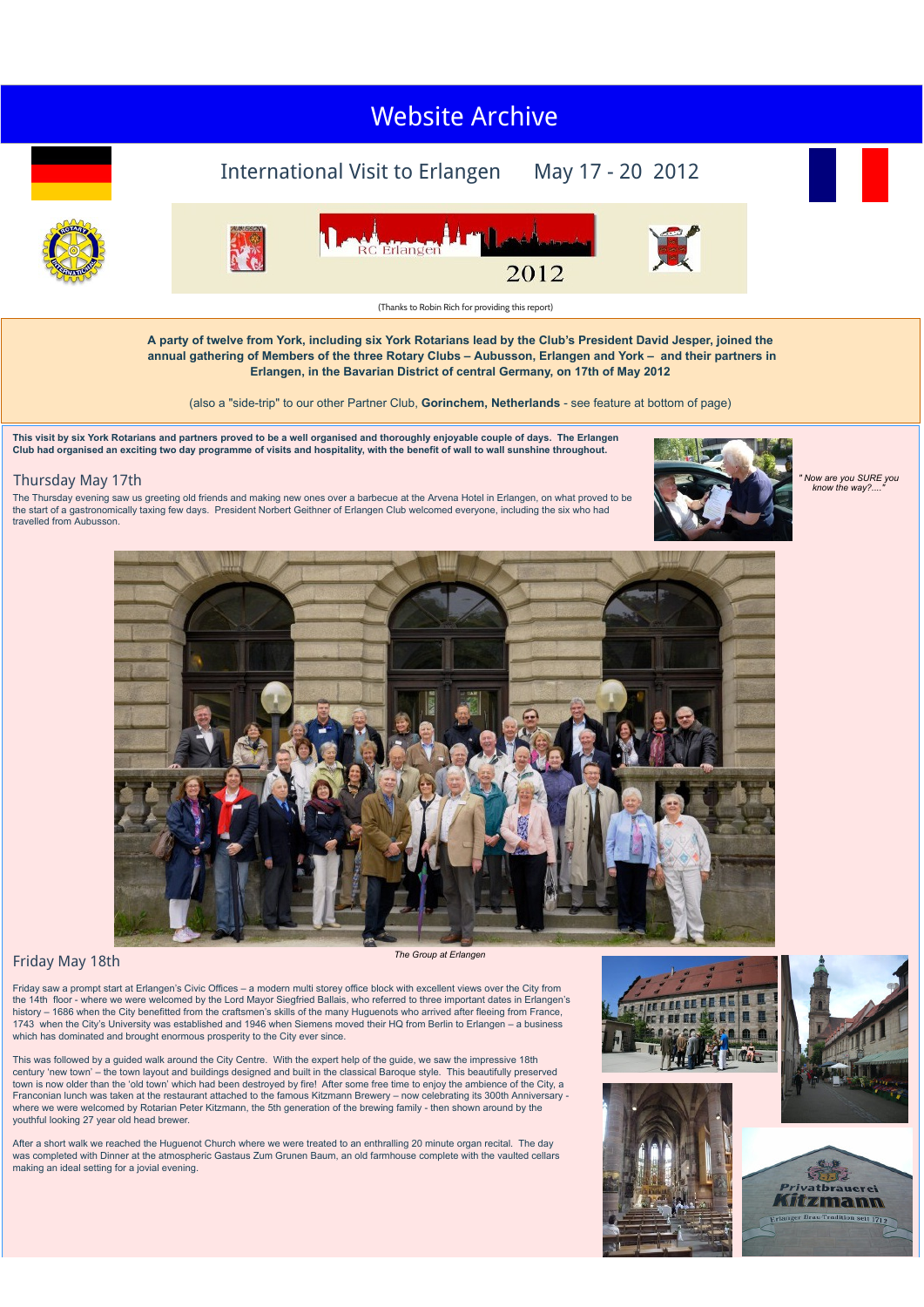#### $\cdots$   $\cdots$ Visit to [Stratford,](http://newyorkrotary.moonfruit.com/international-visit-may-2014/4585230272?preview=Y) May 2014 Visit to Leipzig, June 2015 Visit to [Clermont-Ferrand,](http://newyorkrotary.moonfruit.com/international-visit-may-2016/4592358869?preview=Y) May 2016 Visit to York, May [2018](http://newyorkrotary.moonfruit.com/international-visit-may-2018/4594307849?preview=Y) [Websit](http://newyorkrotary.moonfruit.com/international-visit-june-2015/4589862853?preview=Y)e Ar[chive](http://newyorkrotary.moonfruit.com/international-visit-may-2013/4552333483?preview=Y)

# International Visit to Erlangen May 17 - 20 2012









(Thanks to Robin Rich for providing this report)

2012

**A party of twelve from York, including six York Rotarians lead by the Club's President David Jesper, joined the annual gathering of Members of the three Rotary Clubs – Aubusson, Erlangen and York – and their partners in Erlangen, in the Bavarian District of central Germany, on 17th of May 2012**

(also a "side-trip" to our other Partner Club, **Gorinchem, Netherlands** - see feature at bottom of page)

**This visit by six York Rotarians and partners proved to be a well organised and thoroughly enjoyable couple of days. The Erlangen Club had organised an exciting two day programme of visits and hospitality, with the benefit of wall to wall sunshine throughout.**

### Thursday May 17th

The Thursday evening saw us greeting old friends and making new ones over a barbecue at the Arvena Hotel in Erlangen, on what proved to be the start of a gastronomically taxing few days. President Norbert Geithner of Erlangen Club welcomed everyone, including the six who had travelled from Aubusson.



*" Now are you SURE you know the way?...."*



## Friday May 18th *The Group at Erlangen*

Friday saw a prompt start at Erlangen's Civic Offices – a modern multi storey office block with excellent views over the City from the 14th floor - where we were welcomed by the Lord Mayor Siegfried Ballais, who referred to three important dates in Erlangen's history – 1686 when the City benefitted from the craftsmen's skills of the many Huguenots who arrived after fleeing from France, 1743 when the City's University was established and 1946 when Siemens moved their HQ from Berlin to Erlangen – a business which has dominated and brought enormous prosperity to the City ever since.

This was followed by a guided walk around the City Centre. With the expert help of the guide, we saw the impressive 18th century 'new town' – the town layout and buildings designed and built in the classical Baroque style. This beautifully preserved town is now older than the 'old town' which had been destroyed by fire! After some free time to enjoy the ambience of the City, a Franconian lunch was taken at the restaurant attached to the famous Kitzmann Brewery – now celebrating its 300th Anniversary -<br>where we were welcomed by Rotarian Peter Kitzmann, the 5th generation of the brewing family - t youthful looking 27 year old head brewer.

After a short walk we reached the Huguenot Church where we were treated to an enthralling 20 minute organ recital. The day was completed with Dinner at the atmospheric Gastaus Zum Grunen Baum, an old farmhouse complete with the vaulted cellars making an ideal setting for a jovial evening.







Wizmann

it 1719